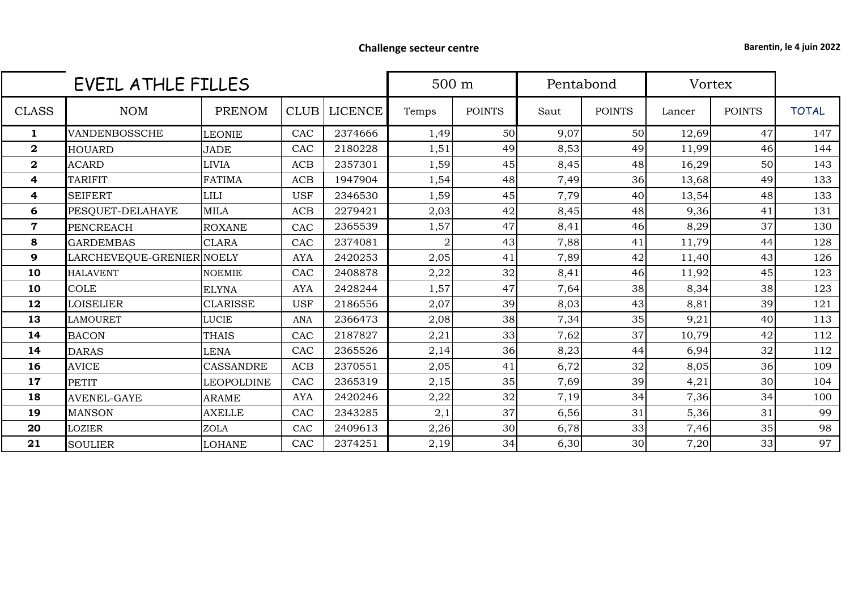## **Challenge secteur centre Barentin, le 4 juin 2022**

|              | EVEIL ATHLE FILLES        |                   |             |                |                | 500 m         |      | Pentabond     |        | Vortex        |              |
|--------------|---------------------------|-------------------|-------------|----------------|----------------|---------------|------|---------------|--------|---------------|--------------|
| <b>CLASS</b> | <b>NOM</b>                | PRENOM            | <b>CLUB</b> | <b>LICENCE</b> | Temps          | <b>POINTS</b> | Saut | <b>POINTS</b> | Lancer | <b>POINTS</b> | <b>TOTAL</b> |
| 1            | VANDENBOSSCHE             | <b>LEONIE</b>     | CAC         | 2374666        | 1,49           | 50            | 9,07 | 50            | 12,69  | 47            | 147          |
| $\mathbf 2$  | <b>HOUARD</b>             | <b>JADE</b>       | CAC         | 2180228        | 1,51           | 49            | 8,53 | 49            | 11,99  | 46            | 144          |
| $\mathbf 2$  | <b>ACARD</b>              | <b>LIVIA</b>      | <b>ACB</b>  | 2357301        | 1,59           | 45            | 8,45 | 48            | 16,29  | 50            | 143          |
| 4            | <b>TARIFIT</b>            | FATIMA            | <b>ACB</b>  | 1947904        | 1,54           | 48            | 7,49 | 36            | 13,68  | 49            | 133          |
| 4            | <b>SEIFERT</b>            | <b>LILI</b>       | <b>USF</b>  | 2346530        | 1,59           | 45            | 7,79 | 40            | 13,54  | 48            | 133          |
| 6            | PESQUET-DELAHAYE          | <b>MILA</b>       | <b>ACB</b>  | 2279421        | 2,03           | 42            | 8,45 | 48            | 9,36   | 41            | 131          |
| $\mathbf 7$  | <b>PENCREACH</b>          | <b>ROXANE</b>     | CAC         | 2365539        | 1,57           | 47            | 8,41 | 46            | 8,29   | 37            | 130          |
| 8            | <b>GARDEMBAS</b>          | <b>CLARA</b>      | CAC         | 2374081        | $\mathfrak{D}$ | 43            | 7,88 | 41            | 11,79  | 44            | 128          |
| 9            | LARCHEVEQUE-GRENIER NOELY |                   | <b>AYA</b>  | 2420253        | 2,05           | 41            | 7,89 | 42            | 11,40  | 43            | 126          |
| 10           | <b>HALAVENT</b>           | <b>NOEMIE</b>     | CAC         | 2408878        | 2,22           | 32            | 8,41 | 46            | 11,92  | 45            | 123          |
| 10           | <b>COLE</b>               | <b>ELYNA</b>      | <b>AYA</b>  | 2428244        | 1,57           | 47            | 7,64 | 38            | 8,34   | 38            | 123          |
| 12           | <b>LOISELIER</b>          | <b>CLARISSE</b>   | <b>USF</b>  | 2186556        | 2,07           | 39            | 8,03 | 43            | 8,81   | 39            | 121          |
| 13           | <b>LAMOURET</b>           | <b>LUCIE</b>      | <b>ANA</b>  | 2366473        | 2,08           | 38            | 7,34 | 35            | 9,21   | 40            | 113          |
| 14           | <b>BACON</b>              | <b>THAIS</b>      | CAC         | 2187827        | 2,21           | 33            | 7,62 | 37            | 10,79  | 42            | 112          |
| 14           | <b>DARAS</b>              | LENA              | CAC         | 2365526        | 2,14           | 36            | 8,23 | 44            | 6,94   | 32            | 112          |
| 16           | <b>AVICE</b>              | <b>CASSANDRE</b>  | <b>ACB</b>  | 2370551        | 2,05           | 41            | 6,72 | 32            | 8,05   | 36            | 109          |
| 17           | <b>PETIT</b>              | <b>LEOPOLDINE</b> | CAC         | 2365319        | 2,15           | 35            | 7,69 | 39            | 4,21   | 30            | 104          |
| 18           | <b>AVENEL-GAYE</b>        | <b>ARAME</b>      | <b>AYA</b>  | 2420246        | 2,22           | 32            | 7,19 | 34            | 7,36   | 34            | 100          |
| 19           | <b>MANSON</b>             | <b>AXELLE</b>     | CAC         | 2343285        | 2,1            | 37            | 6,56 | 31            | 5,36   | 31            | 99           |
| 20           | <b>LOZIER</b>             | <b>ZOLA</b>       | CAC         | 2409613        | 2,26           | 30            | 6,78 | 33            | 7,46   | 35            | 98           |
| 21           | <b>SOULIER</b>            | <b>LOHANE</b>     | CAC         | 2374251        | 2,19           | 34            | 6,30 | 30            | 7,20   | 33            | 97           |